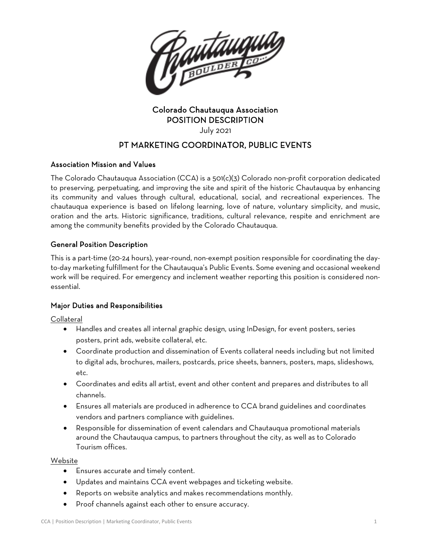

# Colorado Chautauqua Association POSITION DESCRIPTION

July 2021

# PT MARKETING COORDINATOR, PUBLIC EVENTS

# Association Mission and Values

The Colorado Chautauqua Association (CCA) is a 501(c)(3) Colorado non-profit corporation dedicated to preserving, perpetuating, and improving the site and spirit of the historic Chautauqua by enhancing its community and values through cultural, educational, social, and recreational experiences. The chautauqua experience is based on lifelong learning, love of nature, voluntary simplicity, and music, oration and the arts. Historic significance, traditions, cultural relevance, respite and enrichment are among the community benefits provided by the Colorado Chautauqua.

# General Position Description

This is a part-time (20-24 hours), year-round, non-exempt position responsible for coordinating the dayto-day marketing fulfillment for the Chautauqua's Public Events. Some evening and occasional weekend work will be required. For emergency and inclement weather reporting this position is considered nonessential.

# Major Duties and Responsibilities

Collateral

- Handles and creates all internal graphic design, using InDesign, for event posters, series posters, print ads, website collateral, etc.
- Coordinate production and dissemination of Events collateral needs including but not limited to digital ads, brochures, mailers, postcards, price sheets, banners, posters, maps, slideshows, etc.
- Coordinates and edits all artist, event and other content and prepares and distributes to all channels.
- Ensures all materials are produced in adherence to CCA brand guidelines and coordinates vendors and partners compliance with guidelines.
- Responsible for dissemination of event calendars and Chautauqua promotional materials around the Chautauqua campus, to partners throughout the city, as well as to Colorado Tourism offices.

# Website

- Ensures accurate and timely content.
- Updates and maintains CCA event webpages and ticketing website.
- Reports on website analytics and makes recommendations monthly.
- Proof channels against each other to ensure accuracy.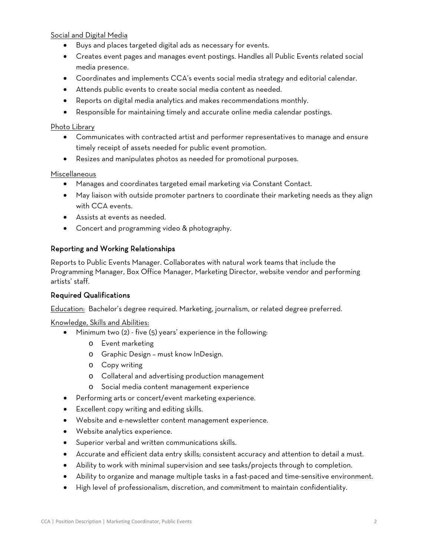#### Social and Digital Media

- Buys and places targeted digital ads as necessary for events.
- Creates event pages and manages event postings. Handles all Public Events related social media presence.
- Coordinates and implements CCA's events social media strategy and editorial calendar.
- Attends public events to create social media content as needed.
- Reports on digital media analytics and makes recommendations monthly.
- Responsible for maintaining timely and accurate online media calendar postings.

#### Photo Library

- Communicates with contracted artist and performer representatives to manage and ensure timely receipt of assets needed for public event promotion.
- Resizes and manipulates photos as needed for promotional purposes.

#### Miscellaneous

- Manages and coordinates targeted email marketing via Constant Contact.
- May liaison with outside promoter partners to coordinate their marketing needs as they align with CCA events.
- Assists at events as needed.
- Concert and programming video & photography.

# Reporting and Working Relationships

Reports to Public Events Manager. Collaborates with natural work teams that include the Programming Manager, Box Office Manager, Marketing Director, website vendor and performing artists' staff.

# Required Qualifications

Education: Bachelor's degree required. Marketing, journalism, or related degree preferred.

#### Knowledge, Skills and Abilities:

- Minimum two (2) five (5) years' experience in the following:
	- o Event marketing
	- o Graphic Design must know InDesign.
	- o Copy writing
	- o Collateral and advertising production management
	- o Social media content management experience
- Performing arts or concert/event marketing experience.
- Excellent copy writing and editing skills.
- Website and e-newsletter content management experience.
- Website analytics experience.
- Superior verbal and written communications skills.
- Accurate and efficient data entry skills; consistent accuracy and attention to detail a must.
- Ability to work with minimal supervision and see tasks/projects through to completion.
- Ability to organize and manage multiple tasks in a fast-paced and time-sensitive environment.
- High level of professionalism, discretion, and commitment to maintain confidentiality.